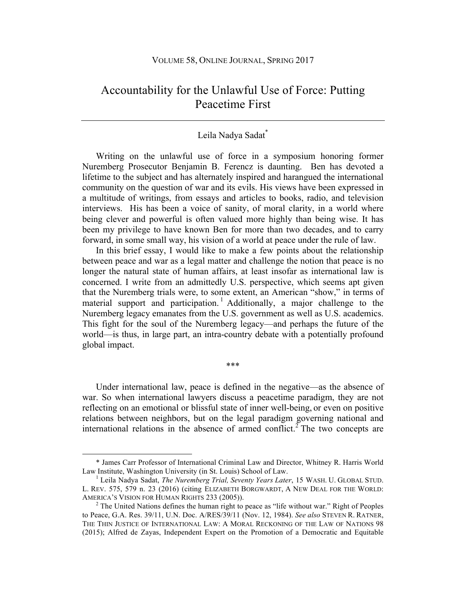## Accountability for the Unlawful Use of Force: Putting Peacetime First

## Leila Nadya Sadat\*

Writing on the unlawful use of force in a symposium honoring former Nuremberg Prosecutor Benjamin B. Ferencz is daunting. Ben has devoted a lifetime to the subject and has alternately inspired and harangued the international community on the question of war and its evils. His views have been expressed in a multitude of writings, from essays and articles to books, radio, and television interviews. His has been a voice of sanity, of moral clarity, in a world where being clever and powerful is often valued more highly than being wise. It has been my privilege to have known Ben for more than two decades, and to carry forward, in some small way, his vision of a world at peace under the rule of law.

In this brief essay, I would like to make a few points about the relationship between peace and war as a legal matter and challenge the notion that peace is no longer the natural state of human affairs, at least insofar as international law is concerned. I write from an admittedly U.S. perspective, which seems apt given that the Nuremberg trials were, to some extent, an American "show," in terms of material support and participation.<sup>1</sup> Additionally, a major challenge to the Nuremberg legacy emanates from the U.S. government as well as U.S. academics. This fight for the soul of the Nuremberg legacy—and perhaps the future of the world—is thus, in large part, an intra-country debate with a potentially profound global impact.

Under international law, peace is defined in the negative—as the absence of war. So when international lawyers discuss a peacetime paradigm, they are not reflecting on an emotional or blissful state of inner well-being, or even on positive relations between neighbors, but on the legal paradigm governing national and international relations in the absence of armed conflict.<sup>2</sup> The two concepts are

\*\*\*

 

<sup>\*</sup> James Carr Professor of International Criminal Law and Director, Whitney R. Harris World Law Institute, Washington University (in St. Louis) School of Law. 1 Leila Nadya Sadat, *The Nuremberg Trial, Seventy Years Later*, 15 WASH. U. GLOBAL STUD.

L. REV. 575, 579 n. 23 (2016) (citing ELIZABETH BORGWARDT, A NEW DEAL FOR THE WORLD: AMERICA'S VISION FOR HUMAN RIGHTS 233 (2005)).

 $2$  The United Nations defines the human right to peace as "life without war." Right of Peoples to Peace, G.A. Res. 39/11, U.N. Doc. A/RES/39/11 (Nov. 12, 1984). *See also* STEVEN R. RATNER, THE THIN JUSTICE OF INTERNATIONAL LAW: A MORAL RECKONING OF THE LAW OF NATIONS 98 (2015); Alfred de Zayas, Independent Expert on the Promotion of a Democratic and Equitable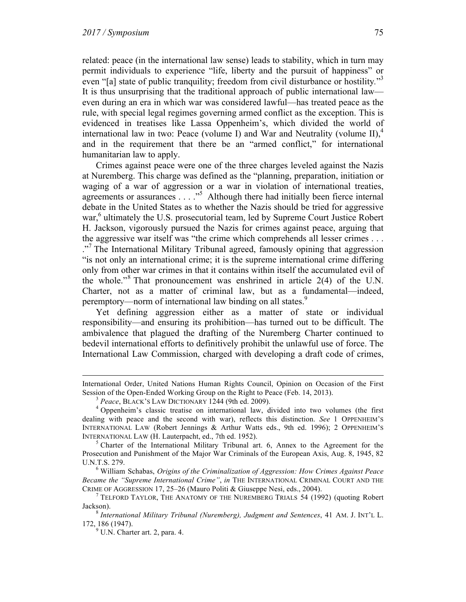related: peace (in the international law sense) leads to stability, which in turn may permit individuals to experience "life, liberty and the pursuit of happiness" or even "[a] state of public tranquility; freedom from civil disturbance or hostility."<sup>3</sup> It is thus unsurprising that the traditional approach of public international law even during an era in which war was considered lawful—has treated peace as the rule, with special legal regimes governing armed conflict as the exception. This is evidenced in treatises like Lassa Oppenheim's, which divided the world of international law in two: Peace (volume I) and War and Neutrality (volume II), $4$ and in the requirement that there be an "armed conflict," for international humanitarian law to apply.

Crimes against peace were one of the three charges leveled against the Nazis at Nuremberg. This charge was defined as the "planning, preparation, initiation or waging of a war of aggression or a war in violation of international treaties, agreements or assurances . . . ."<sup>5</sup> Although there had initially been fierce internal debate in the United States as to whether the Nazis should be tried for aggressive war,<sup>6</sup> ultimately the U.S. prosecutorial team, led by Supreme Court Justice Robert H. Jackson, vigorously pursued the Nazis for crimes against peace, arguing that the aggressive war itself was "the crime which comprehends all lesser crimes . . . ."<sup>7</sup> The International Military Tribunal agreed, famously opining that aggression "is not only an international crime; it is the supreme international crime differing only from other war crimes in that it contains within itself the accumulated evil of the whole."<sup>8</sup> That pronouncement was enshrined in article  $2(4)$  of the U.N. Charter, not as a matter of criminal law, but as a fundamental—indeed, peremptory—norm of international law binding on all states.<sup>9</sup>

Yet defining aggression either as a matter of state or individual responsibility—and ensuring its prohibition—has turned out to be difficult. The ambivalence that plagued the drafting of the Nuremberg Charter continued to bedevil international efforts to definitively prohibit the unlawful use of force. The International Law Commission, charged with developing a draft code of crimes,

*Became the "Supreme International Crime", in* THE INTERNATIONAL CRIMINAL COURT AND THE CRIME OF AGGRESSION 17, 25–26 (Mauro Politi & Giuseppe Nesi, eds., 2004).

<sup>&</sup>lt;u> 1989 - Johann Stein, marwolaethau a bhann an chomhair an chomhair an chomhair an chomhair an chomhair an chom</u> International Order, United Nations Human Rights Council, Opinion on Occasion of the First Session of the Open-Ended Working Group on the Right to Peace (Feb. 14, 2013).<br><sup>3</sup> Peace, BLACK's LAW DICTIONARY 1244 (9th ed. 2009).<br><sup>4</sup> Oppenheim's classic treatise on international law, divided into two volumes (the fir

dealing with peace and the second with war), reflects this distinction. *See* 1 OPPENHEIM'S INTERNATIONAL LAW (Robert Jennings & Arthur Watts eds., 9th ed. 1996); 2 OPPENHEIM'S INTERNATIONAL LAW (H. Lauterpacht, ed., 7th ed. 1952).<br><sup>5</sup> Charter of the International Military Tribunal art. 6, Annex to the Agreement for the

Prosecution and Punishment of the Major War Criminals of the European Axis, Aug. 8, 1945, 82 U.N.T.S. 279. 6 William Schabas, *Origins of the Criminalization of Aggression: How Crimes Against Peace* 

 $^7$  TELFORD TAYLOR, THE ANATOMY OF THE NUREMBERG TRIALS 54 (1992) (quoting Robert Jackson).<br><sup>8</sup> *International Military Tribunal (Nuremberg), Judgment and Sentences*, 41 AM. J. INT'L L.

<sup>172, 186 (1947).&</sup>lt;br><sup>9</sup> U.N. Charter art. 2, para. 4.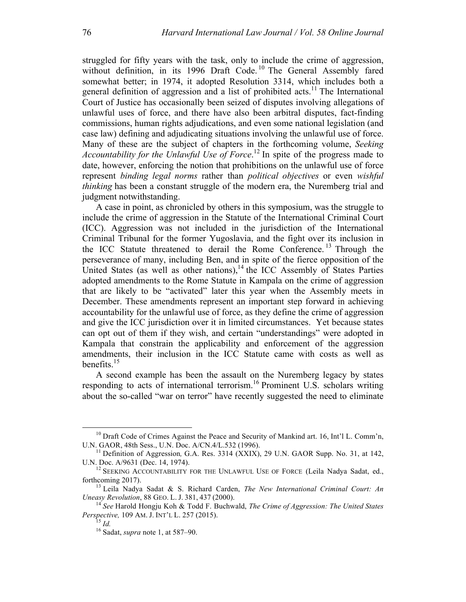struggled for fifty years with the task, only to include the crime of aggression, without definition, in its 1996 Draft Code.<sup>10</sup> The General Assembly fared somewhat better; in 1974, it adopted Resolution 3314, which includes both a general definition of aggression and a list of prohibited acts.<sup>11</sup> The International Court of Justice has occasionally been seized of disputes involving allegations of unlawful uses of force, and there have also been arbitral disputes, fact-finding commissions, human rights adjudications, and even some national legislation (and case law) defining and adjudicating situations involving the unlawful use of force. Many of these are the subject of chapters in the forthcoming volume, *Seeking Accountability for the Unlawful Use of Force*. <sup>12</sup> In spite of the progress made to date, however, enforcing the notion that prohibitions on the unlawful use of force represent *binding legal norms* rather than *political objectives* or even *wishful thinking* has been a constant struggle of the modern era, the Nuremberg trial and judgment notwithstanding.

A case in point, as chronicled by others in this symposium, was the struggle to include the crime of aggression in the Statute of the International Criminal Court (ICC). Aggression was not included in the jurisdiction of the International Criminal Tribunal for the former Yugoslavia, and the fight over its inclusion in the ICC Statute threatened to derail the Rome Conference. <sup>13</sup> Through the perseverance of many, including Ben, and in spite of the fierce opposition of the United States (as well as other nations),  $14$  the ICC Assembly of States Parties adopted amendments to the Rome Statute in Kampala on the crime of aggression that are likely to be "activated" later this year when the Assembly meets in December. These amendments represent an important step forward in achieving accountability for the unlawful use of force, as they define the crime of aggression and give the ICC jurisdiction over it in limited circumstances. Yet because states can opt out of them if they wish, and certain "understandings" were adopted in Kampala that constrain the applicability and enforcement of the aggression amendments, their inclusion in the ICC Statute came with costs as well as benefits. $15$ 

A second example has been the assault on the Nuremberg legacy by states responding to acts of international terrorism.<sup>16</sup> Prominent U.S. scholars writing about the so-called "war on terror" have recently suggested the need to eliminate

<sup>&</sup>lt;sup>10</sup> Draft Code of Crimes Against the Peace and Security of Mankind art. 16, Int'l L. Comm'n, U.N. GAOR, 48th Sess., U.N. Doc.  $A/CN.4/L.532$  (1996).

<sup>&</sup>lt;sup>11</sup> Definition of Aggression, G.A. Res. 3314 (XXIX), 29 U.N. GAOR Supp. No. 31, at 142, U.N. Doc. A/9631 (Dec. 14, 1974).<br><sup>12</sup> SEEKING ACCOUNTABILITY FOR THE UNLAWFUL USE OF FORCE (Leila Nadya Sadat, ed.,

forthcoming 2017). 13 Leila Nadya Sadat & S. Richard Carden, *The New International Criminal Court: An* 

*Uneasy Revolution*, 88 GEO. L. J. 381, 437 (2000).<br><sup>14</sup> *See Harold Hongju Koh & Todd F. Buchwald, <i>The Crime of Aggression: The United States Perspective*, 109 AM. J. INT'L L. 257 (2015).

<sup>&</sup>lt;sup>15</sup> *Id. Perspective, 16* Sadat, *supra* note 1, at 587–90.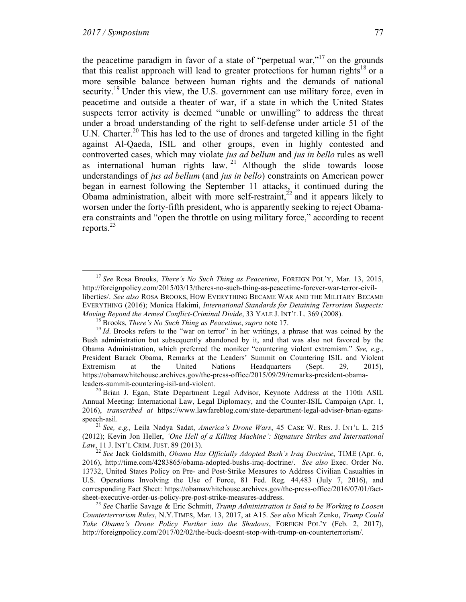the peacetime paradigm in favor of a state of "perpetual war,"<sup>17</sup> on the grounds that this realist approach will lead to greater protections for human rights<sup>18</sup> or a more sensible balance between human rights and the demands of national security.<sup>19</sup> Under this view, the U.S. government can use military force, even in peacetime and outside a theater of war, if a state in which the United States suspects terror activity is deemed "unable or unwilling" to address the threat under a broad understanding of the right to self-defense under article 51 of the U.N. Charter.<sup>20</sup> This has led to the use of drones and targeted killing in the fight against Al-Qaeda, ISIL and other groups, even in highly contested and controverted cases, which may violate *jus ad bellum* and *jus in bello* rules as well as international human rights law.  $21$  Although the slide towards loose understandings of *jus ad bellum* (and *jus in bello*) constraints on American power began in earnest following the September 11 attacks, it continued during the Obama administration, albeit with more self-restraint, $^{22}$  and it appears likely to worsen under the forty-fifth president, who is apparently seeking to reject Obamaera constraints and "open the throttle on using military force," according to recent reports. $^{23}$ 

 <sup>17</sup> *See* Rosa Brooks, *There's No Such Thing as Peacetime*, FOREIGN POL'Y, Mar. 13, 2015, http://foreignpolicy.com/2015/03/13/theres-no-such-thing-as-peacetime-forever-war-terror-civilliberties/. *See also* ROSA BROOKS, HOW EVERYTHING BECAME WAR AND THE MILITARY BECAME EVERYTHING (2016); Monica Hakimi, *International Standards for Detaining Terrorism Suspects:*  Moving Beyond the Armed Conflict-Criminal Divide, 33 YALE J. INT'L L. 369 (2008).<br><sup>18</sup> Brooks, *There's No Such Thing as Peacetime*, *supra* note 17.<br><sup>19</sup> Id. Brooks refers to the "war on terror" in her writings, a phrase

Bush administration but subsequently abandoned by it, and that was also not favored by the Obama Administration, which preferred the moniker "countering violent extremism." *See, e.g.*, President Barack Obama, Remarks at the Leaders' Summit on Countering ISIL and Violent Extremism at the United Nations Headquarters (Sept. 29, 2015), https://obamawhitehouse.archives.gov/the-press-office/2015/09/29/remarks-president-obamaleaders-summit-countering-isil-and-violent.<br><sup>20</sup> Brian J. Egan, State Department Legal Advisor, Keynote Address at the 110th ASIL

Annual Meeting: International Law, Legal Diplomacy, and the Counter-ISIL Campaign (Apr. 1, 2016), *transcribed at* https://www.lawfareblog.com/state-department-legal-adviser-brian-egansspeech-asil. <sup>21</sup> *See, e.g.,* Leila Nadya Sadat, *America's Drone Wars*, 45 CASE W. RES. J. INT'L L. <sup>215</sup>

<sup>(2012);</sup> Kevin Jon Heller, *'One Hell of a Killing Machine': Signature Strikes and International Law*, 11 J. INT'L CRIM. JUST. 89 (2013). <sup>22</sup> *See* Jack Goldsmith, *Obama Has Officially Adopted Bush's Iraq Doctrine*, TIME (Apr. 6,

<sup>2016),</sup> http://time.com/4283865/obama-adopted-bushs-iraq-doctrine/. *See also* Exec. Order No. 13732, United States Policy on Pre- and Post-Strike Measures to Address Civilian Casualties in U.S. Operations Involving the Use of Force, 81 Fed. Reg. 44,483 (July 7, 2016), and corresponding Fact Sheet: https://obamawhitehouse.archives.gov/the-press-office/2016/07/01/fact-<br>sheet-executive-order-us-policy-pre-post-strike-measures-address.

<sup>&</sup>lt;sup>23</sup> See Charlie Savage & Eric Schmitt, *Trump Administration is Said to be Working to Loosen Counterterrorism Rules*, N.Y.TIMES, Mar. 13, 2017, at A15. *See also* Micah Zenko, *Trump Could Take Obama's Drone Policy Further into the Shadows*, FOREIGN POL'Y (Feb. 2, 2017), http://foreignpolicy.com/2017/02/02/the-buck-doesnt-stop-with-trump-on-counterterrorism/.